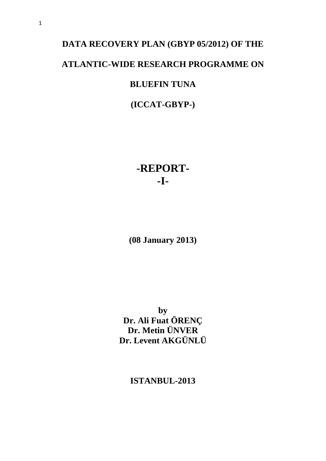# **DATA RECOVERY PLAN (GBYP 05/2012) OF THE ATLANTIC-WIDE RESEARCH PROGRAMME ON BLUEFIN TUNA**

**(ICCAT-GBYP-)**

# **-REPORT- -I-**

**(08 January 2013)**

**by Dr. Ali Fuat ÖRENÇ Dr. Metin ÜNVER Dr. Levent AKGÜNLÜ**

**ISTANBUL-2013**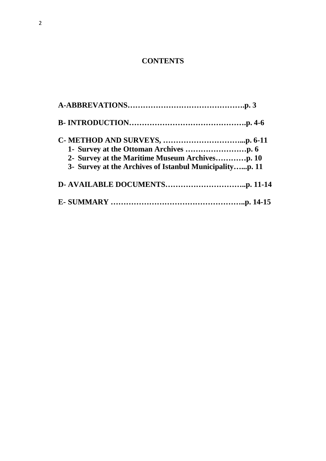# **CONTENTS**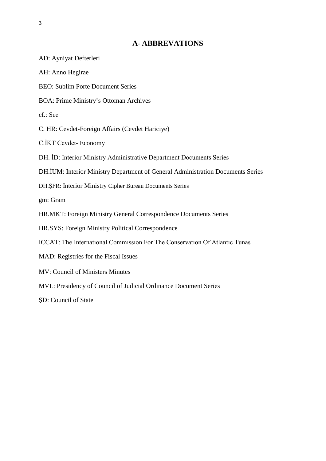# **A- ABBREVATIONS**

| AD: Ayniyat Defterleri                                                            |
|-----------------------------------------------------------------------------------|
| AH: Anno Hegirae                                                                  |
| <b>BEO: Sublim Porte Document Series</b>                                          |
| <b>BOA: Prime Ministry's Ottoman Archives</b>                                     |
| cf.: See                                                                          |
| C. HR: Cevdet-Foreign Affairs (Cevdet Hariciye)                                   |
| C.İKT Cevdet-Economy                                                              |
| DH. ID: Interior Ministry Administrative Department Documents Series              |
| DH.İUM: Interior Ministry Department of General Administration Documents Series   |
| DH. SFR: Interior Ministry Cipher Bureau Documents Series                         |
| gm: Gram                                                                          |
| HR.MKT: Foreign Ministry General Correspondence Documents Series                  |
| HR.SYS: Foreign Ministry Political Correspondence                                 |
| <b>ICCAT:</b> The International Commission For The Conservation Of Atlantic Tunas |
| MAD: Registries for the Fiscal Issues                                             |
| <b>MV: Council of Ministers Minutes</b>                                           |
| MVL: Presidency of Council of Judicial Ordinance Document Series                  |
| SD: Council of State                                                              |
|                                                                                   |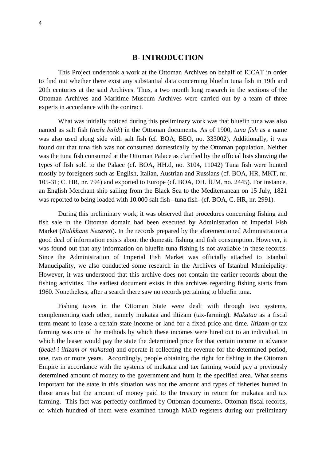# **B- INTRODUCTION**

This Project undertook a work at the Ottoman Archives on behalf of ICCAT in order to find out whether there exist any substantial data concerning bluefin tuna fish in 19th and 20th centuries at the said Archives. Thus, a two month long research in the sections of the Ottoman Archives and Maritime Museum Archives were carried out by a team of three experts in accordance with the contract.

What was initially noticed during this preliminary work was that bluefin tuna was also named as salt fish (*tuzlu balık*) in the Ottoman documents. As of 1900, *tuna fish* as a name was also used along side with salt fish (cf. BOA, BEO, no. 333002). Additionally, it was found out that tuna fish was not consumed domestically by the Ottoman population. Neither was the tuna fish consumed at the Ottoman Palace as clarified by the official lists showing the types of fish sold to the Palace (cf. BOA, HH.d, no. 3104, 11042) Tuna fish were hunted mostly by foreigners such as English, Italian, Austrian and Russians (cf. BOA, HR. MKT, nr. 105-31; C. HR, nr. 794) and exported to Europe (cf. BOA, DH. İUM, no. 2445). For instance, an English Merchant ship sailing from the Black Sea to the Mediterranean on 15 July, 1821 was reported to being loaded with 10.000 salt fish –tuna fish- (cf. BOA, C. HR, nr. 2991).

During this preliminary work, it was observed that procedures concerning fishing and fish sale in the Ottoman domain had been executed by Administration of Imperial Fish Market (*Balıkhane Nezareti*). In the records prepared by the aforementioned Administration a good deal of information exists about the domestic fishing and fish consumption. However, it was found out that any information on bluefin tuna fishing is not available in these records. Since the Administration of Imperial Fish Market was officially attached to Istanbul Manucipality, we also conducted some research in the Archives of Istanbul Municipality. However, it was understood that this archive does not contain the earlier records about the fishing activities. The earliest document exists in this archives regarding fishing starts from 1960. Nonetheless, after a search there saw no records pertaining to bluefin tuna.

Fishing taxes in the Ottoman State were dealt with through two systems, complementing each other, namely mukataa and iltizam (tax-farming). *Mukataa* as a fiscal term meant to lease a certain state income or land for a fixed price and time. *Iltizam* or tax farming was one of the methods by which these incomes were hired out to an individual, in which the leaser would pay the state the determined price for that certain income in advance (*bedel-i iltizam or mukataa*) and operate it collecting the revenue for the determined period, one, two or more years. Accordingly, people obtaining the right for fishing in the Ottoman Empire in accordance with the systems of mukataa and tax farming would pay a previously determined amount of money to the government and hunt in the specified area. What seems important for the state in this situation was not the amount and types of fisheries hunted in those areas but the amount of money paid to the treasury in return for mukataa and tax farming. This fact was perfectly confirmed by Ottoman documents. Ottoman fiscal records, of which hundred of them were examined through MAD registers during our preliminary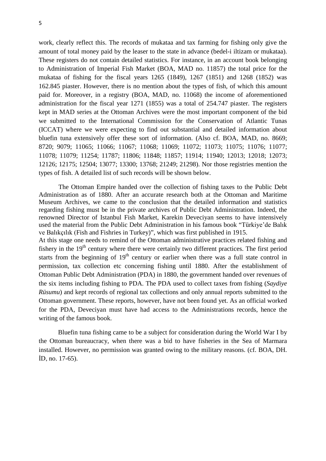work, clearly reflect this. The records of mukataa and tax farming for fishing only give the amount of total money paid by the leaser to the state in advance (bedel-i iltizam or mukataa). These registers do not contain detailed statistics. For instance, in an account book belonging to Administration of Imperial Fish Market (BOA, MAD no. 11857) the total price for the mukataa of fishing for the fiscal years 1265 (1849), 1267 (1851) and 1268 (1852) was 162.845 piaster. However, there is no mention about the types of fish, of which this amount paid for. Moreover, in a registry (BOA, MAD, no. 11068) the income of aforementioned administration for the fiscal year 1271 (1855) was a total of 254.747 piaster. The registers kept in MAD series at the Ottoman Archives were the most important component of the bid we submitted to the International Commission for the Conservation of Atlantic Tunas (ICCAT) where we were expecting to find out substantial and detailed information about bluefin tuna extensively offer these sort of information. (Also cf. BOA, MAD, no. 8669; 8720; 9079; 11065; 11066; 11067; 11068; 11069; 11072; 11073; 11075; 11076; 11077; 11078; 11079; 11254; 11787; 11806; 11848; 11857; 11914; 11940; 12013; 12018; 12073; 12126; 12175; 12504; 13077; 13300; 13768; 21249; 21298). Nor those registries mention the types of fish. A detailed list of such records will be shown below.

The Ottoman Empire handed over the collection of fishing taxes to the Public Debt Administration as of 1880. After an accurate research both at the Ottoman and Maritime Museum Archives, we came to the conclusion that the detailed information and statistics regarding fishing must be in the private archives of Public Debt Administration. Indeed, the renowned Director of Istanbul Fish Market, Karekin Deveciyan seems to have intensively used the material from the Public Debt Administration in his famous book "Türkiye'de Balık ve Balıkçılık (Fish and Fishries in Turkey)", which was first published in 1915. At this stage one needs to remind of the Ottoman administrative practices related fishing and fishery in the  $19<sup>th</sup>$  century where there were certainly two different practices. The first period

starts from the beginning of  $19<sup>th</sup>$  century or earlier when there was a full state control in permission, tax collection etc concerning fishing until 1880. After the establishment of Ottoman Public Debt Administration (PDA) in 1880, the government handed over revenues of the six items including fishing to PDA. The PDA used to collect taxes from fishing (*Saydiye Rüsumu*) and kept records of regional tax collections and only annual reports submitted to the Ottoman government. These reports, however, have not been found yet. As an official worked for the PDA, Deveciyan must have had access to the Administrations records, hence the writing of the famous book.

Bluefin tuna fishing came to be a subject for consideration during the World War I by the Ottoman bureaucracy, when there was a bid to have fisheries in the Sea of Marmara installed. However, no permission was granted owing to the military reasons. (cf. BOA, DH. İD, no. 17-65).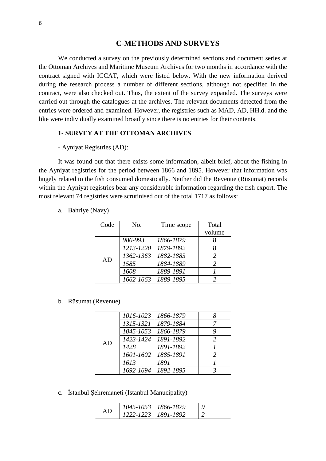# **C-METHODS AND SURVEYS**

We conducted a survey on the previously determined sections and document series at the Ottoman Archives and Maritime Museum Archives for two months in accordance with the contract signed with ICCAT, which were listed below. With the new information derived during the research process a number of different sections, although not specified in the contract, were also checked out. Thus, the extent of the survey expanded. The surveys were carried out through the catalogues at the archives. The relevant documents detected from the entries were ordered and examined. However, the registries such as MAD, AD, HH.d. and the like were individually examined broadly since there is no entries for their contents.

# **1- SURVEY AT THE OTTOMAN ARCHIVES**

#### - Ayniyat Registries (AD):

It was found out that there exists some information, albeit brief, about the fishing in the Ayniyat registries for the period between 1866 and 1895. However that information was hugely related to the fish consumed domestically. Neither did the Revenue (Rüsumat) records within the Ayniyat registries bear any considerable information regarding the fish export. The most relevant 74 registries were scrutinised out of the total 1717 as follows:

| Code | No.       | Time scope | Total          |
|------|-----------|------------|----------------|
|      |           |            | volume         |
|      | 986-993   | 1866-1879  |                |
| AD   | 1213-1220 | 1879-1892  |                |
|      | 1362-1363 | 1882-1883  | $\mathfrak{D}$ |
|      | 1585      | 1884-1889  | $\mathfrak{D}$ |
|      | 1608      | 1889-1891  |                |
|      | 1662-1663 | 1889-1895  |                |

a. Bahriye (Navy)

#### b. Rüsumat (Revenue)

| AD | 1016-1023 | 1866-1879 |               |
|----|-----------|-----------|---------------|
|    | 1315-1321 | 1879-1884 |               |
|    | 1045-1053 | 1866-1879 | 9             |
|    | 1423-1424 | 1891-1892 | $\mathcal{L}$ |
|    | 1428      | 1891-1892 |               |
|    | 1601-1602 | 1885-1891 | $\mathcal{P}$ |
|    | 1613      | 1891      |               |
|    | 1692-1694 | 1892-1895 |               |
|    |           |           |               |

c. İstanbul Şehremaneti (Istanbul Manucipality)

| АD | 1045-1053   1866-1879 |  |
|----|-----------------------|--|
|    | 1222-1223   1891-1892 |  |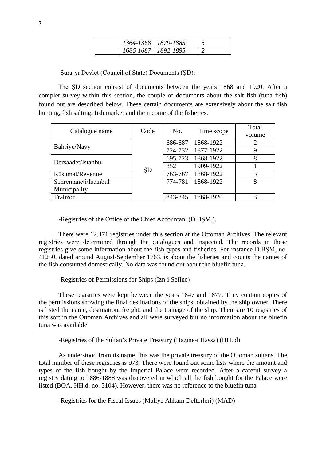| 1364-1368   1879-1883 |  |
|-----------------------|--|
| 1686-1687   1892-1895 |  |

-Şura-yı Devlet (Council of State) Documents (ŞD):

The ŞD section consist of documents between the years 1868 and 1920. After a complet survey within this section, the couple of documents about the salt fish (tuna fish) found out are described below. These certain documents are extensively about the salt fish hunting, fish salting, fish market and the income of the fisheries.

| Catalogue name       | Code | No.     | Time scope | Total<br>volume |
|----------------------|------|---------|------------|-----------------|
| Bahriye/Navy         |      | 686-687 | 1868-1922  | 2               |
|                      | ŞD   | 724-732 | 1877-1922  |                 |
| Dersaadet/Istanbul   |      | 695-723 | 1868-1922  |                 |
|                      |      | 852     | 1909-1922  |                 |
| Rüsumat/Revenue      |      | 763-767 | 1868-1922  |                 |
| Sehremaneti/Istanbul |      | 774-781 | 1868-1922  | 8               |
| Municipality         |      |         |            |                 |
| Trabzon              |      | 843-845 | 1868-1920  |                 |

-Registries of the Office of the Chief Accountan (D.BŞM.).

There were 12.471 registries under this section at the Ottoman Archives. The relevant registries were determined through the catalogues and inspected. The records in these registries give some information about the fish types and fisheries. For instance D.BŞM, no. 41250, dated around August-September 1763, is about the fisheries and counts the names of the fish consumed domestically. No data was found out about the bluefin tuna.

-Registries of Permissions for Ships (Izn-i Sefine)

These registries were kept between the years 1847 and 1877. They contain copies of the permissions showing the final destinations of the ships, obtained by the ship owner. There is listed the name, destination, freight, and the tonnage of the ship. There are 10 registries of this sort in the Ottoman Archives and all were surveyed but no information about the bluefin tuna was available.

-Registries of the Sultan's Private Treasury (Hazine-i Hassa) (HH. d)

As understood from its name, this was the private treasury of the Ottoman sultans. The total number of these registries is 973. There were found out some lists where the amount and types of the fish bought by the Imperial Palace were recorded. After a careful survey a registry dating to 1886-1888 was discovered in which all the fish bought for the Palace were listed (BOA, HH.d. no. 3104). However, there was no reference to the bluefin tuna.

-Registries for the Fiscal Issues (Maliye Ahkam Defterleri) (MAD)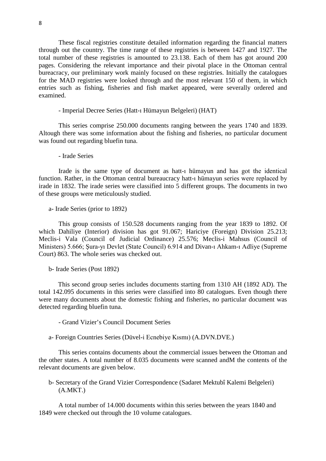These fiscal registries constitute detailed information regarding the financial matters through out the country. The time range of these registries is between 1427 and 1927. The total number of these registries is amounted to 23.138. Each of them has got around 200 pages. Considering the relevant importance and their pivotal place in the Ottoman central bureacracy, our preliminary work mainly focused on these registries. Initially the catalogues for the MAD registries were looked through and the most relevant 150 of them, in which entries such as fishing, fisheries and fish market appeared, were severally ordered and examined.

- Imperial Decree Series (Hatt-ı Hümayun Belgeleri) (HAT)

This series comprise 250.000 documents ranging between the years 1740 and 1839. Altough there was some information about the fishing and fisheries, no particular document was found out regarding bluefin tuna.

- Irade Series

Irade is the same type of document as hatt-ı hümayun and has got the identical function. Rather, in the Ottoman central bureaucracy hatt-ı hümayun series were replaced by irade in 1832. The irade series were classified into 5 different groups. The documents in two of these groups were meticulously studied.

a- Irade Series (prior to 1892)

This group consists of 150.528 documents ranging from the year 1839 to 1892. Of which Dahiliye (Interior) division has got 91.067; Hariciye (Foreign) Division 25.213; Meclis-i Vala (Council of Judicial Ordinance) 25.576; Meclis-i Mahsus (Council of Ministers) 5.666; Şura-yı Devlet (State Council) 6.914 and Divan-ı Ahkam-ı Adliye (Supreme Court) 863. The whole series was checked out.

b- Irade Series (Post 1892)

This second group series includes documents starting from 1310 AH (1892 AD). The total 142.095 documents in this series were classified into 80 catalogues. Even though there were many documents about the domestic fishing and fisheries, no particular document was detected regarding bluefin tuna.

- Grand Vizier's Council Document Series

a- Foreign Countries Series (Düvel-i Ecnebiye Kısmı) (A.DVN.DVE.)

This series contains documents about the commercial issues between the Ottoman and the other states. A total number of 8.035 documents were scanned andM the contents of the relevant documents are given below.

b- Secretary of the Grand Vizier Correspondence (Sadaret Mektubî Kalemi Belgeleri) (A.MKT.)

A total number of 14.000 documents within this series between the years 1840 and 1849 were checked out through the 10 volume catalogues.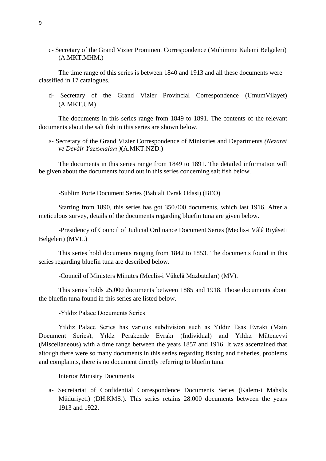c- Secretary of the Grand Vizier Prominent Correspondence (Mühimme Kalemi Belgeleri) (A.MKT.MHM.)

The time range of this series is between 1840 and 1913 and all these documents were classified in 17 catalogues.

d- Secretary of the Grand Vizier Provincial Correspondence (UmumVilayet) (A.MKT.UM)

The documents in this series range from 1849 to 1891. The contents of the relevant documents about the salt fish in this series are shown below.

*e-* Secretary of the Grand Vizier Correspondence of Ministries and Departments *(Nezaret ve Devâir Yazı*s*maları )*(A.MKT.NZD.)

The documents in this series range from 1849 to 1891. The detailed information will be given about the documents found out in this series concerning salt fish below*.*

*-*Sublim Porte Document Series (Babiali Evrak Odasi) (BEO)

Starting from 1890, this series has got 350.000 documents, which last 1916. After a meticulous survey, details of the documents regarding bluefin tuna are given below.

-Presidency of Council of Judicial Ordinance Document Series (Meclis-i Vâlâ Riyâseti Belgeleri) (MVL.)

This series hold documents ranging from 1842 to 1853. The documents found in this series regarding bluefin tuna are described below.

-Council of Ministers Minutes (Meclis-i Vükelâ Mazbataları) (MV).

This series holds 25.000 documents between 1885 and 1918. Those documents about the bluefin tuna found in this series are listed below.

-Yıldız Palace Documents Series

Yıldız Palace Series has various subdivision such as Yıldız Esas Evrakı (Main Document Series), Yıldz Perakende Evrakı (Individual) and Yıldız Mütenevvi (Miscellaneous) with a time range between the years 1857 and 1916. It was ascertained that altough there were so many documents in this series regarding fishing and fisheries, problems and complaints, there is no document directly referring to bluefin tuna.

Interior Ministry Documents

a- Secretariat of Confidential Correspondence Documents Series (Kalem-i Mahsûs Müdüriyeti) (DH.KMS.). This series retains 28.000 documents between the years 1913 and 1922.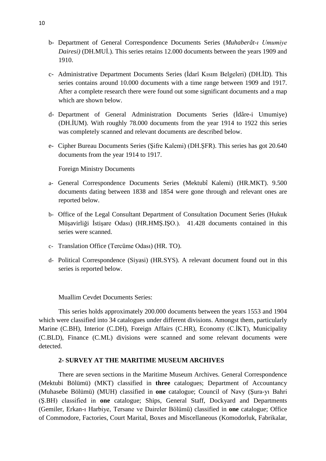- b- Department of General Correspondence Documents Series (*Muhaberât-ı Umumiye Dairesi)* (DH.MUİ.). This series retains 12.000 documents between the years 1909 and 1910.
- c- Administrative Department Documents Series (İdarî Kısım Belgeleri) (DH.İD)*.* This series contains around 10.000 documents with a time range between 1909 and 1917. After a complete research there were found out some significant documents and a map which are shown below
- d- Department of General Administration Documents Series (İdâre-i Umumiye) (DH.İUM). With roughly 78.000 documents from the year 1914 to 1922 this series was completely scanned and relevant documents are described below.
- e- Cipher Bureau Documents Series (Şifre Kalemi) (DH.ŞFR). This series has got 20.640 documents from the year 1914 to 1917.

Foreign Ministry Documents

- a- General Correspondence Documents Series (Mektubî Kalemi) (HR.MKT). 9.500 documents dating between 1838 and 1854 were gone through and relevant ones are reported below.
- b- Office of the Legal Consultant Department of Consultation Document Series (Hukuk Müşavirliği İstişare Odası) (HR.HMŞ.IŞO.). 41.428 documents contained in this series were scanned.
- c- Translation Office (Tercüme Odası) (HR. TO).
- d- Political Correspondence (Siyasi) (HR.SYS). A relevant document found out in this series is reported below.

Muallim Cevdet Documents Series:

This series holds approximately 200.000 documents between the years 1553 and 1904 which were classified into 34 catalogues under different divisions. Amongst them, particularly Marine (C.BH), Interior (C.DH), Foreign Affairs (C.HR), Economy (C.İKT), Municipality (C.BLD), Finance (C.ML) divisions were scanned and some relevant documents were detected.

#### **2- SURVEY AT THE MARITIME MUSEUM ARCHIVES**

There are seven sections in the Maritime Museum Archives. General Correspondence (Mektubi Bölümü) (MKT) classified in **three** catalogues; Department of Accountancy (Muhasebe Bölümü) (MUH) classified in **one** catalogue; Council of Navy (Şura-yı Bahri (Ş.BH) classified in **one** catalogue; Ships, General Staff, Dockyard and Departments (Gemiler, Erkan-ı Harbiye, Tersane ve Daireler Bölümü) classified in **one** catalogue; Office of Commodore, Factories, Court Marital, Boxes and Miscellaneous (Komodorluk, Fabrikalar,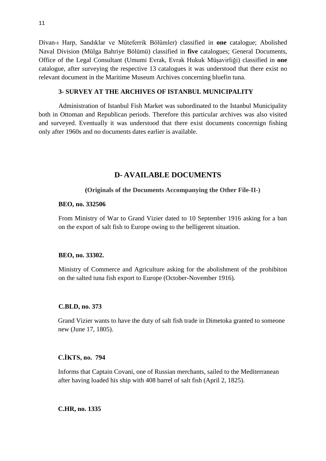Divan-ı Harp, Sandıklar ve Müteferrik Bölümler) classified in **one** catalogue; Abolished Naval Division (Mülga Bahriye Bölümü) classified in **five** catalogues; General Documents, Office of the Legal Consultant (Umumi Evrak, Evrak Hukuk Müşavirliği) classified in **one** catalogue, after surveying the respective 13 catalogues it was understood that there exist no relevant document in the Maritime Museum Archives concerning bluefin tuna.

# **3- SURVEY AT THE ARCHIVES OF ISTANBUL MUNICIPALITY**

Administration of Istanbul Fish Market was subordinated to the Istanbul Municipality both in Ottoman and Republican periods. Therefore this particular archives was also visited and surveyed. Eventually it was understood that there exist documents concernign fishing only after 1960s and no documents dates earlier is available.

# **D- AVAILABLE DOCUMENTS**

## **(Originals of the Documents Accompanying the Other File-II-)**

#### **BEO, no. 332506**

From Ministry of War to Grand Vizier dated to 10 September 1916 asking for a ban on the export of salt fish to Europe owing to the belligerent situation.

## **BEO, no. 33302.**

Ministry of Commerce and Agriculture asking for the abolishment of the prohibiton on the salted tuna fish export to Europe (October-November 1916).

#### **C.BLD, no. 373**

Grand Vizier wants to have the duty of salt fish trade in Dimetoka granted to someone new (June 17, 1805).

## **C.İKTS, no. 794**

Informs that Captain Covani, one of Russian merchants, sailed to the Mediterranean after having loaded his ship with 408 barrel of salt fish (April 2, 1825).

**C.HR, no. 1335**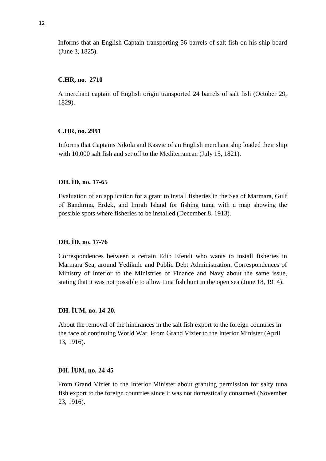Informs that an English Captain transporting 56 barrels of salt fish on his ship board (June 3, 1825).

#### **C.HR, no. 2710**

A merchant captain of English origin transported 24 barrels of salt fish (October 29, 1829).

#### **C.HR, no. 2991**

Informs that Captains Nikola and Kasvic of an English merchant ship loaded their ship with 10.000 salt fish and set off to the Mediterranean (July 15, 1821).

# **DH. İD, no. 17-65**

Evaluation of an application for a grant to install fisheries in the Sea of Marmara, Gulf of Bandırma, Erdek, and Imralı Island for fishing tuna, with a map showing the possible spots where fisheries to be installed (December 8, 1913).

#### **DH. İD, no. 17-76**

Correspondences between a certain Edib Efendi who wants to install fisheries in Marmara Sea, around Yedikule and Public Debt Administration. Correspondences of Ministry of Interior to the Ministries of Finance and Navy about the same issue, stating that it was not possible to allow tuna fish hunt in the open sea (June 18, 1914).

# **DH. İUM, no. 14-20.**

About the removal of the hindrances in the salt fish export to the foreign countries in the face of continuing World War. From Grand Vizier to the Interior Minister (April 13, 1916).

# **DH. İUM, no. 24-45**

From Grand Vizier to the Interior Minister about granting permission for salty tuna fish export to the foreign countries since it was not domestically consumed (November 23, 1916).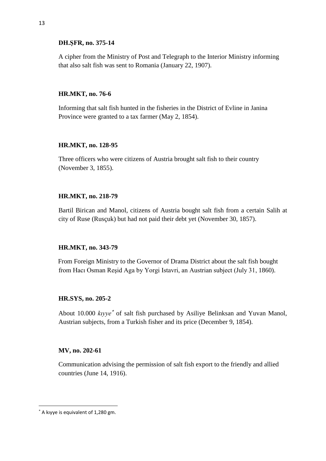#### **DH.ŞFR, no. 375-14**

A cipher from the Ministry of Post and Telegraph to the Interior Ministry informing that also salt fish was sent to Romania (January 22, 1907).

## **HR.MKT, no. 76-6**

Informing that salt fish hunted in the fisheries in the District of Evline in Janina Province were granted to a tax farmer (May 2, 1854).

## **HR.MKT, no. 128-95**

Three officers who were citizens of Austria brought salt fish to their country (November 3, 1855).

# **HR.MKT, no. 218-79**

Bartil Birican and Manol, citizens of Austria bought salt fish from a certain Salih at city of Ruse (Rusçuk) but had not paid their debt yet (November 30, 1857).

# **HR.MKT, no. 343-79**

From Foreign Ministry to the Governor of Drama District about the salt fish bought from Hacı Osman Reşid Aga by Yorgi Istavri, an Austrian subject (July 31, 1860).

## **HR.SYS, no. 205-2**

About 10.000 *kıyye*<sup>∗</sup> of salt fish purchased by Asiliye Belinksan and Yuvan Manol, Austrian subjects, from a Turkish fisher and its price (December 9, 1854).

## **MV, no. 202-61**

Communication advising the permission of salt fish export to the friendly and allied countries (June 14, 1916).

 $\overline{a}$ 

<sup>∗</sup> A kıyye is equivalent of 1,280 gm.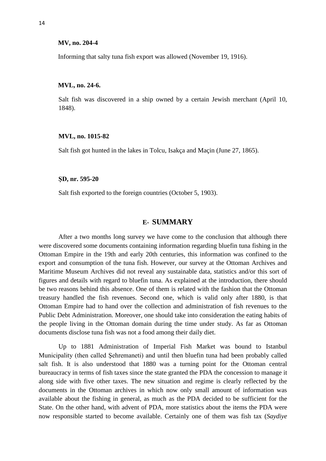#### **MV, no. 204-4**

Informing that salty tuna fish export was allowed (November 19, 1916).

#### **MVL, no. 24-6.**

Salt fish was discovered in a ship owned by a certain Jewish merchant (April 10, 1848).

#### **MVL, no. 1015-82**

Salt fish got hunted in the lakes in Tolcu, Isakça and Maçin (June 27, 1865).

#### **ŞD, nr. 595-20**

Salt fish exported to the foreign countries (October 5, 1903).

# **E- SUMMARY**

After a two months long survey we have come to the conclusion that although there were discovered some documents containing information regarding bluefin tuna fishing in the Ottoman Empire in the 19th and early 20th centuries, this information was confined to the export and consumption of the tuna fish. However, our survey at the Ottoman Archives and Maritime Museum Archives did not reveal any sustainable data, statistics and/or this sort of figures and details with regard to bluefin tuna. As explained at the introduction, there should be two reasons behind this absence. One of them is related with the fashion that the Ottoman treasury handled the fish revenues. Second one, which is valid only after 1880, is that Ottoman Empire had to hand over the collection and administration of fish revenues to the Public Debt Administration. Moreover, one should take into consideration the eating habits of the people living in the Ottoman domain during the time under study. As far as Ottoman documents disclose tuna fish was not a food among their daily diet.

Up to 1881 Administration of Imperial Fish Market was bound to Istanbul Municipality (then called Şehremaneti) and until then bluefin tuna had been probably called salt fish. It is also understood that 1880 was a turning point for the Ottoman central bureaucracy in terms of fish taxes since the state granted the PDA the concession to manage it along side with five other taxes. The new situation and regime is clearly reflected by the documents in the Ottoman archives in which now only small amount of information was available about the fishing in general, as much as the PDA decided to be sufficient for the State. On the other hand, with advent of PDA, more statistics about the items the PDA were now responsible started to become available. Certainly one of them was fish tax (*Saydiye*